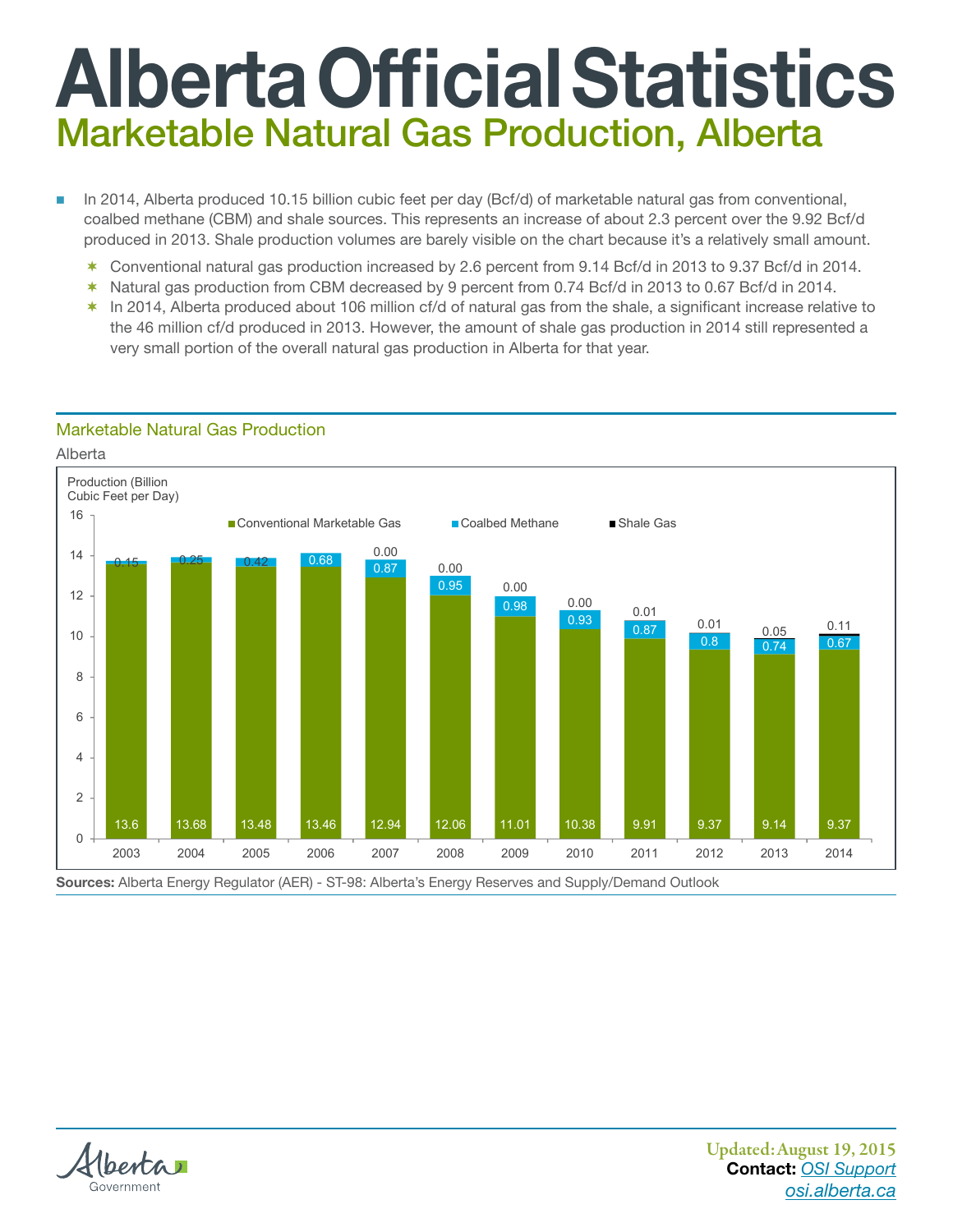## Alberta Official Statistics Marketable Natural Gas Production, Alberta

- In 2014, Alberta produced 10.15 billion cubic feet per day (Bcf/d) of marketable natural gas from conventional, coalbed methane (CBM) and shale sources. This represents an increase of about 2.3 percent over the 9.92 Bcf/d produced in 2013. Shale production volumes are barely visible on the chart because it's a relatively small amount.
	- \* Conventional natural gas production increased by 2.6 percent from 9.14 Bcf/d in 2013 to 9.37 Bcf/d in 2014.
	- $*$  Natural gas production from CBM decreased by 9 percent from 0.74 Bcf/d in 2013 to 0.67 Bcf/d in 2014.
	- $*$  In 2014, Alberta produced about 106 million cf/d of natural gas from the shale, a significant increase relative to the 46 million cf/d produced in 2013. However, the amount of shale gas production in 2014 still represented a very small portion of the overall natural gas production in Alberta for that year.

## Marketable Natural Gas Production, Alberta Marketable Natural Gas Production

Alberta





christian and christian and christian and christian and christian and christian and christian and christian and christian and christian and christian and christian and christian and christian and christian and christian an